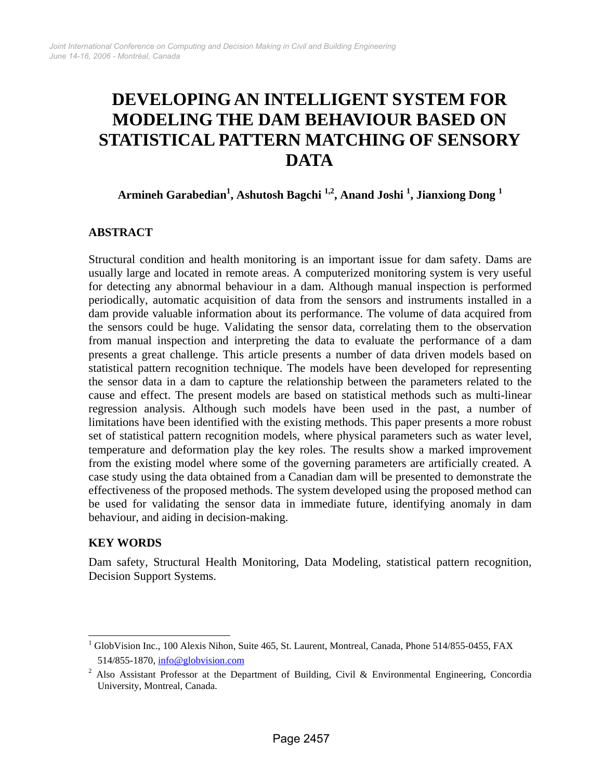# **DEVELOPING AN INTELLIGENT SYSTEM FOR MODELING THE DAM BEHAVIOUR BASED ON STATISTICAL PATTERN MATCHING OF SENSORY DATA**

**Armineh Garabedian<sup>1</sup> , Ashutosh Bagchi 1,2, Anand Joshi 1 , Jianxiong Dong <sup>1</sup>**

## **ABSTRACT**

Structural condition and health monitoring is an important issue for dam safety. Dams are usually large and located in remote areas. A computerized monitoring system is very useful for detecting any abnormal behaviour in a dam. Although manual inspection is performed periodically, automatic acquisition of data from the sensors and instruments installed in a dam provide valuable information about its performance. The volume of data acquired from the sensors could be huge. Validating the sensor data, correlating them to the observation from manual inspection and interpreting the data to evaluate the performance of a dam presents a great challenge. This article presents a number of data driven models based on statistical pattern recognition technique. The models have been developed for representing the sensor data in a dam to capture the relationship between the parameters related to the cause and effect. The present models are based on statistical methods such as multi-linear regression analysis. Although such models have been used in the past, a number of limitations have been identified with the existing methods. This paper presents a more robust set of statistical pattern recognition models, where physical parameters such as water level, temperature and deformation play the key roles. The results show a marked improvement from the existing model where some of the governing parameters are artificially created. A case study using the data obtained from a Canadian dam will be presented to demonstrate the effectiveness of the proposed methods. The system developed using the proposed method can be used for validating the sensor data in immediate future, identifying anomaly in dam behaviour, and aiding in decision-making.

## **KEY WORDS**

Dam safety, Structural Health Monitoring, Data Modeling, statistical pattern recognition, Decision Support Systems.

<sup>&</sup>lt;sup>1</sup> GlobVision Inc., 100 Alexis Nihon, Suite 465, St. Laurent, Montreal, Canada, Phone 514/855-0455, FAX 514/855-1870, info@globvision.com

<sup>&</sup>lt;sup>2</sup> Also Assistant Professor at the Department of Building, Civil & Environmental Engineering, Concordia University, Montreal, Canada.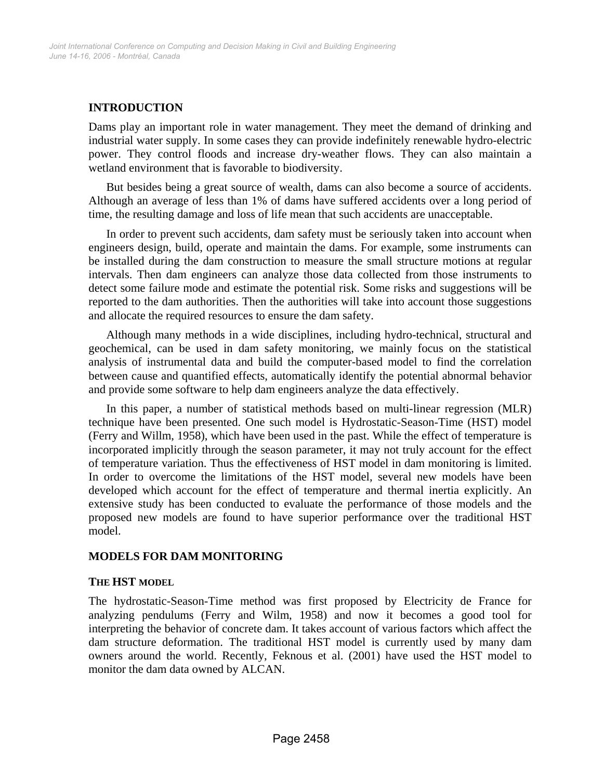## **INTRODUCTION**

Dams play an important role in water management. They meet the demand of drinking and industrial water supply. In some cases they can provide indefinitely renewable hydro-electric power. They control floods and increase dry-weather flows. They can also maintain a wetland environment that is favorable to biodiversity.

But besides being a great source of wealth, dams can also become a source of accidents. Although an average of less than 1% of dams have suffered accidents over a long period of time, the resulting damage and loss of life mean that such accidents are unacceptable.

In order to prevent such accidents, dam safety must be seriously taken into account when engineers design, build, operate and maintain the dams. For example, some instruments can be installed during the dam construction to measure the small structure motions at regular intervals. Then dam engineers can analyze those data collected from those instruments to detect some failure mode and estimate the potential risk. Some risks and suggestions will be reported to the dam authorities. Then the authorities will take into account those suggestions and allocate the required resources to ensure the dam safety.

Although many methods in a wide disciplines, including hydro-technical, structural and geochemical, can be used in dam safety monitoring, we mainly focus on the statistical analysis of instrumental data and build the computer-based model to find the correlation between cause and quantified effects, automatically identify the potential abnormal behavior and provide some software to help dam engineers analyze the data effectively.

In this paper, a number of statistical methods based on multi-linear regression (MLR) technique have been presented. One such model is Hydrostatic-Season-Time (HST) model (Ferry and Willm, 1958), which have been used in the past. While the effect of temperature is incorporated implicitly through the season parameter, it may not truly account for the effect of temperature variation. Thus the effectiveness of HST model in dam monitoring is limited. In order to overcome the limitations of the HST model, several new models have been developed which account for the effect of temperature and thermal inertia explicitly. An extensive study has been conducted to evaluate the performance of those models and the proposed new models are found to have superior performance over the traditional HST model.

## **MODELS FOR DAM MONITORING**

#### **THE HST MODEL**

The hydrostatic-Season-Time method was first proposed by Electricity de France for analyzing pendulums (Ferry and Wilm, 1958) and now it becomes a good tool for interpreting the behavior of concrete dam. It takes account of various factors which affect the dam structure deformation. The traditional HST model is currently used by many dam owners around the world. Recently, Feknous et al. (2001) have used the HST model to monitor the dam data owned by ALCAN.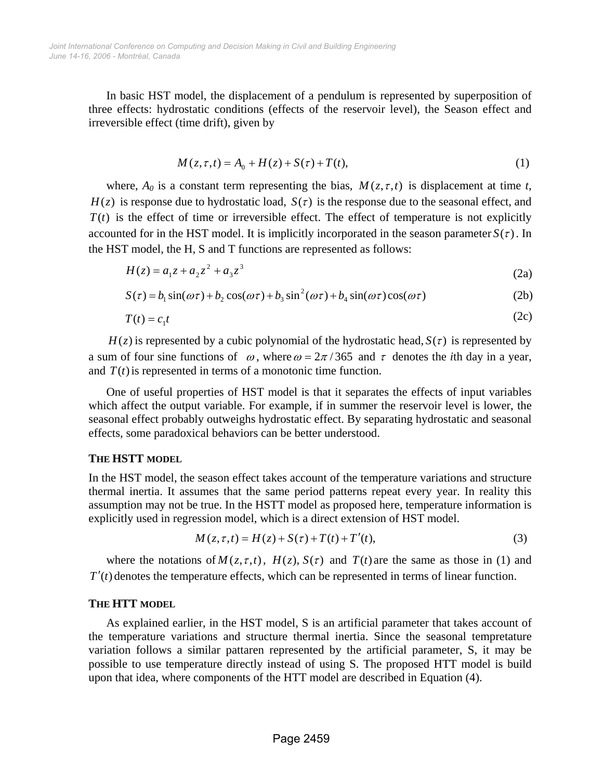In basic HST model, the displacement of a pendulum is represented by superposition of three effects: hydrostatic conditions (effects of the reservoir level), the Season effect and irreversible effect (time drift), given by

$$
M(z, \tau, t) = A_0 + H(z) + S(\tau) + T(t),
$$
\n(1)

where,  $A_0$  is a constant term representing the bias,  $M(z, \tau, t)$  is displacement at time *t*,  $H(z)$  is response due to hydrostatic load,  $S(\tau)$  is the response due to the seasonal effect, and  $T(t)$  is the effect of time or irreversible effect. The effect of temperature is not explicitly accounted for in the HST model. It is implicitly incorporated in the season parameter  $S(\tau)$ . In the HST model, the H, S and T functions are represented as follows:

$$
H(z) = a_1 z + a_2 z^2 + a_3 z^3 \tag{2a}
$$

$$
S(\tau) = b_1 \sin(\omega \tau) + b_2 \cos(\omega \tau) + b_3 \sin^2(\omega \tau) + b_4 \sin(\omega \tau) \cos(\omega \tau)
$$
 (2b)

$$
T(t) = c_1 t \tag{2c}
$$

 $H(z)$  is represented by a cubic polynomial of the hydrostatic head,  $S(\tau)$  is represented by a sum of four sine functions of  $\omega$ , where  $\omega = 2\pi/365$  and  $\tau$  denotes the *i*th day in a year, and  $T(t)$  is represented in terms of a monotonic time function.

One of useful properties of HST model is that it separates the effects of input variables which affect the output variable. For example, if in summer the reservoir level is lower, the seasonal effect probably outweighs hydrostatic effect. By separating hydrostatic and seasonal effects, some paradoxical behaviors can be better understood.

#### **THE HSTT MODEL**

In the HST model, the season effect takes account of the temperature variations and structure thermal inertia. It assumes that the same period patterns repeat every year. In reality this assumption may not be true. In the HSTT model as proposed here, temperature information is explicitly used in regression model, which is a direct extension of HST model.

$$
M(z, \tau, t) = H(z) + S(\tau) + T(t) + T'(t),
$$
\n(3)

where the notations of  $M(z, \tau, t)$ ,  $H(z)$ ,  $S(\tau)$  and  $T(t)$  are the same as those in (1) and *T'(t)* denotes the temperature effects, which can be represented in terms of linear function.

#### **THE HTT MODEL**

As explained earlier, in the HST model, S is an artificial parameter that takes account of the temperature variations and structure thermal inertia. Since the seasonal tempretature variation follows a similar pattaren represented by the artificial parameter, S, it may be possible to use temperature directly instead of using S. The proposed HTT model is build upon that idea, where components of the HTT model are described in Equation (4).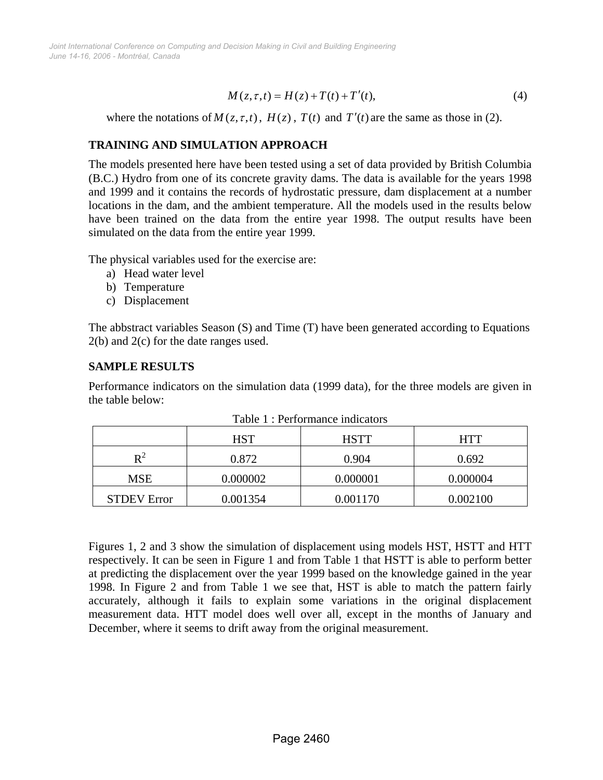$$
M(z, \tau, t) = H(z) + T(t) + T'(t),
$$
\n(4)

where the notations of  $M(z, \tau, t)$ ,  $H(z)$ ,  $T(t)$  and  $T'(t)$  are the same as those in (2).

#### **TRAINING AND SIMULATION APPROACH**

The models presented here have been tested using a set of data provided by British Columbia (B.C.) Hydro from one of its concrete gravity dams. The data is available for the years 1998 and 1999 and it contains the records of hydrostatic pressure, dam displacement at a number locations in the dam, and the ambient temperature. All the models used in the results below have been trained on the data from the entire year 1998. The output results have been simulated on the data from the entire year 1999.

The physical variables used for the exercise are:

- a) Head water level
- b) Temperature
- c) Displacement

The abbstract variables Season (S) and Time (T) have been generated according to Equations 2(b) and 2(c) for the date ranges used.

## **SAMPLE RESULTS**

Performance indicators on the simulation data (1999 data), for the three models are given in the table below:

|                    | <b>HST</b> | <b>HSTT</b> | <b>HTT</b> |
|--------------------|------------|-------------|------------|
| ${\bf p}^2$        | 0.872      | 0.904       | 0.692      |
| <b>MSE</b>         | 0.000002   | 0.000001    | 0.000004   |
| <b>STDEV Error</b> | 0.001354   | 0.001170    | 0.002100   |

Table 1 : Performance indicators

Figures 1, 2 and 3 show the simulation of displacement using models HST, HSTT and HTT respectively. It can be seen in Figure 1 and from Table 1 that HSTT is able to perform better at predicting the displacement over the year 1999 based on the knowledge gained in the year 1998. In Figure 2 and from Table 1 we see that, HST is able to match the pattern fairly accurately, although it fails to explain some variations in the original displacement measurement data. HTT model does well over all, except in the months of January and December, where it seems to drift away from the original measurement.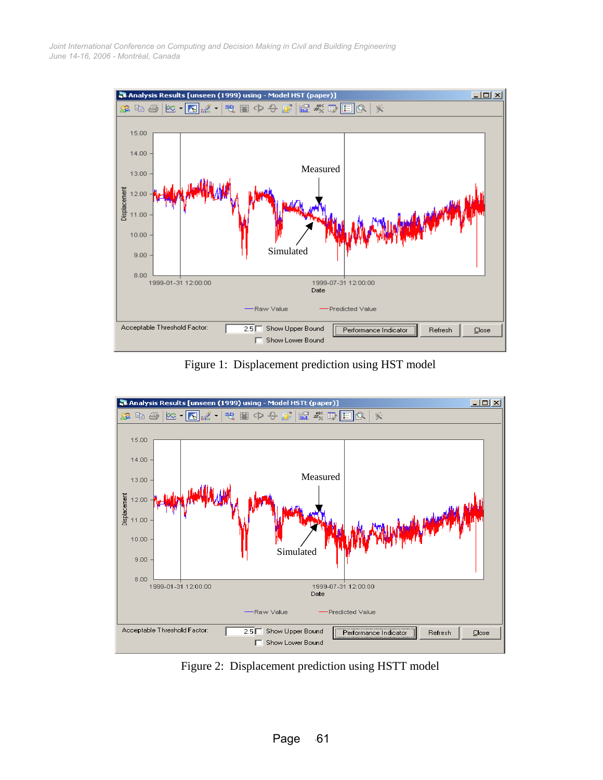

Figure 1: Displacement prediction using HST model



Figure 2: Displacement prediction using HSTT model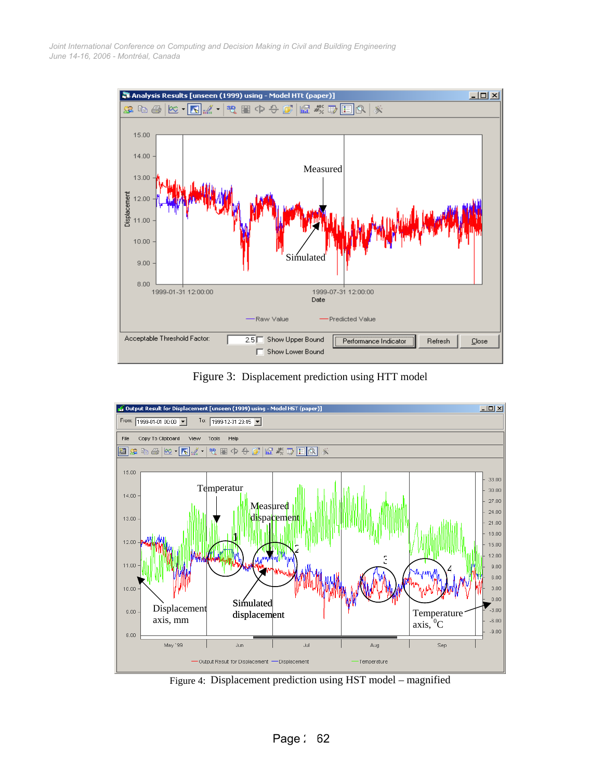

Figure 3: Displacement prediction using HTT model



Figure 4: Displacement prediction using HST model – magnified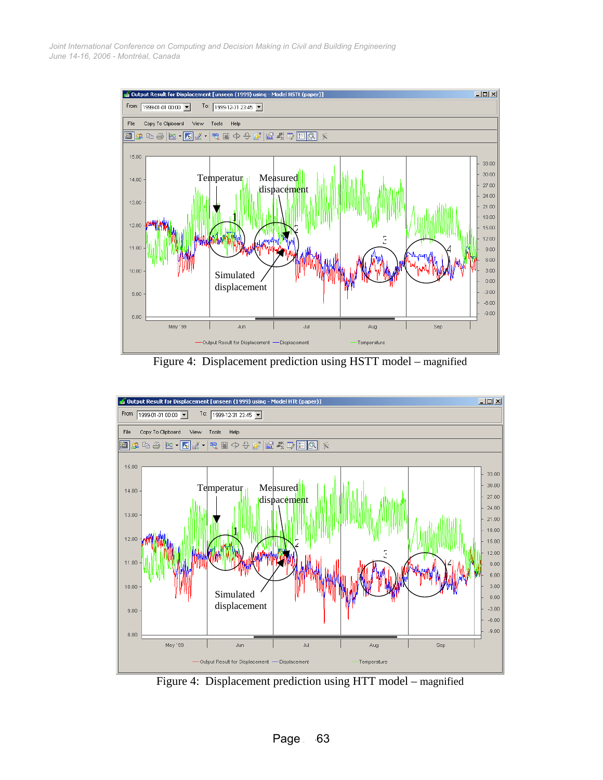

Figure 4: Displacement prediction using HSTT model – magnified



Figure 4: Displacement prediction using HTT model – magnified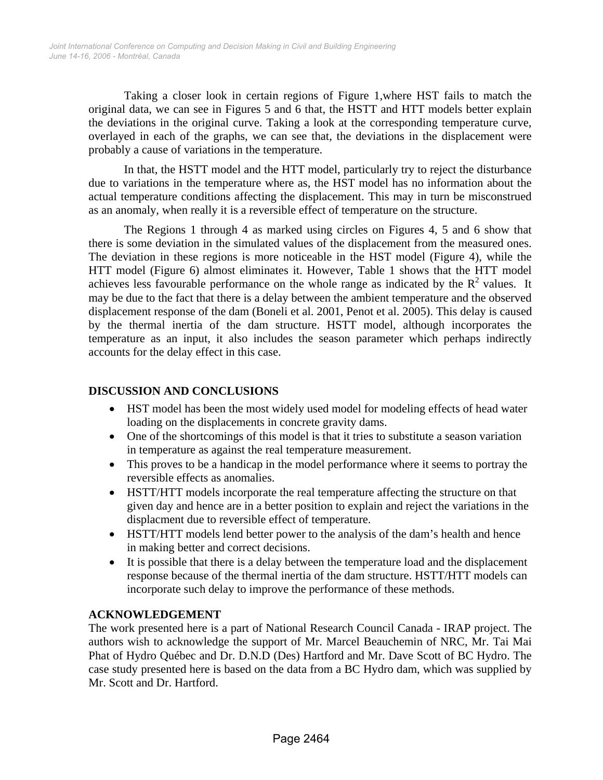Taking a closer look in certain regions of Figure 1,where HST fails to match the original data, we can see in Figures 5 and 6 that, the HSTT and HTT models better explain the deviations in the original curve. Taking a look at the corresponding temperature curve, overlayed in each of the graphs, we can see that, the deviations in the displacement were probably a cause of variations in the temperature.

In that, the HSTT model and the HTT model, particularly try to reject the disturbance due to variations in the temperature where as, the HST model has no information about the actual temperature conditions affecting the displacement. This may in turn be misconstrued as an anomaly, when really it is a reversible effect of temperature on the structure.

The Regions 1 through 4 as marked using circles on Figures 4, 5 and 6 show that there is some deviation in the simulated values of the displacement from the measured ones. The deviation in these regions is more noticeable in the HST model (Figure 4), while the HTT model (Figure 6) almost eliminates it. However, Table 1 shows that the HTT model achieves less favourable performance on the whole range as indicated by the  $R^2$  values. It may be due to the fact that there is a delay between the ambient temperature and the observed displacement response of the dam (Boneli et al. 2001, Penot et al. 2005). This delay is caused by the thermal inertia of the dam structure. HSTT model, although incorporates the temperature as an input, it also includes the season parameter which perhaps indirectly accounts for the delay effect in this case.

# **DISCUSSION AND CONCLUSIONS**

- HST model has been the most widely used model for modeling effects of head water loading on the displacements in concrete gravity dams.
- One of the shortcomings of this model is that it tries to substitute a season variation in temperature as against the real temperature measurement.
- This proves to be a handicap in the model performance where it seems to portray the reversible effects as anomalies.
- HSTT/HTT models incorporate the real temperature affecting the structure on that given day and hence are in a better position to explain and reject the variations in the displacment due to reversible effect of temperature.
- HSTT/HTT models lend better power to the analysis of the dam's health and hence in making better and correct decisions.
- It is possible that there is a delay between the temperature load and the displacement response because of the thermal inertia of the dam structure. HSTT/HTT models can incorporate such delay to improve the performance of these methods.

## **ACKNOWLEDGEMENT**

The work presented here is a part of National Research Council Canada - IRAP project. The authors wish to acknowledge the support of Mr. Marcel Beauchemin of NRC, Mr. Tai Mai Phat of Hydro Québec and Dr. D.N.D (Des) Hartford and Mr. Dave Scott of BC Hydro. The case study presented here is based on the data from a BC Hydro dam, which was supplied by Mr. Scott and Dr. Hartford.